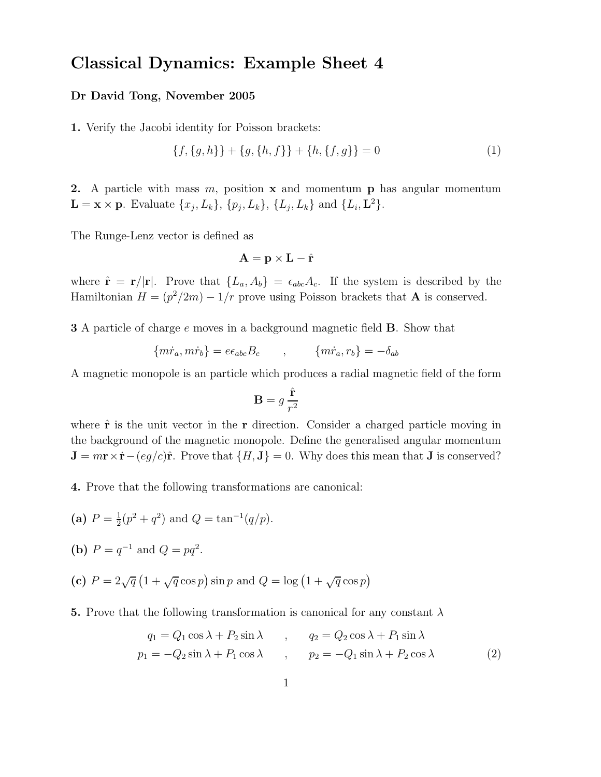## Classical Dynamics: Example Sheet 4

## Dr David Tong, November 2005

1. Verify the Jacobi identity for Poisson brackets:

$$
\{f, \{g, h\}\} + \{g, \{h, f\}\} + \{h, \{f, g\}\} = 0
$$
\n(1)

2. A particle with mass  $m$ , position  $x$  and momentum  $p$  has angular momentum  $\mathbf{L} = \mathbf{x} \times \mathbf{p}$ . Evaluate  $\{x_j, L_k\}$ ,  $\{p_j, L_k\}$ ,  $\{L_j, L_k\}$  and  $\{L_i, \mathbf{L}^2\}$ .

The Runge-Lenz vector is defined as

$$
\mathbf{A} = \mathbf{p} \times \mathbf{L} - \hat{\mathbf{r}}
$$

where  $\hat{\mathbf{r}} = \mathbf{r}/|\mathbf{r}|$ . Prove that  $\{L_a, A_b\} = \epsilon_{abc} A_c$ . If the system is described by the Hamiltonian  $H = (p^2/2m) - 1/r$  prove using Poisson brackets that **A** is conserved.

**3** A particle of charge e moves in a background magnetic field **B**. Show that

$$
\{m\dot{r}_a, m\dot{r}_b\} = e\epsilon_{abc}B_c \qquad , \qquad \{m\dot{r}_a, r_b\} = -\delta_{ab}
$$

A magnetic monopole is an particle which produces a radial magnetic field of the form

$$
\mathbf{B} = g \frac{\hat{\mathbf{r}}}{r^2}
$$

where  $\hat{\mathbf{r}}$  is the unit vector in the **r** direction. Consider a charged particle moving in the background of the magnetic monopole. Define the generalised angular momentum  $J = m\mathbf{r} \times \dot{\mathbf{r}} - (eg/c)\hat{\mathbf{r}}$ . Prove that  $\{H, J\} = 0$ . Why does this mean that J is conserved?

4. Prove that the following transformations are canonical:

- (a)  $P = \frac{1}{2}$  $\frac{1}{2}(p^2+q^2)$  and  $Q = \tan^{-1}(q/p)$ .
- (**b**)  $P = q^{-1}$  and  $Q = pq^2$ .
- (c)  $P = 2\sqrt{q} (1 + \sqrt{q} \cos p) \sin p$  and  $Q = \log (1 + \sqrt{q} \cos p)$
- 5. Prove that the following transformation is canonical for any constant  $\lambda$

$$
q_1 = Q_1 \cos \lambda + P_2 \sin \lambda , \qquad q_2 = Q_2 \cos \lambda + P_1 \sin \lambda p_1 = -Q_2 \sin \lambda + P_1 \cos \lambda , \qquad p_2 = -Q_1 \sin \lambda + P_2 \cos \lambda
$$
 (2)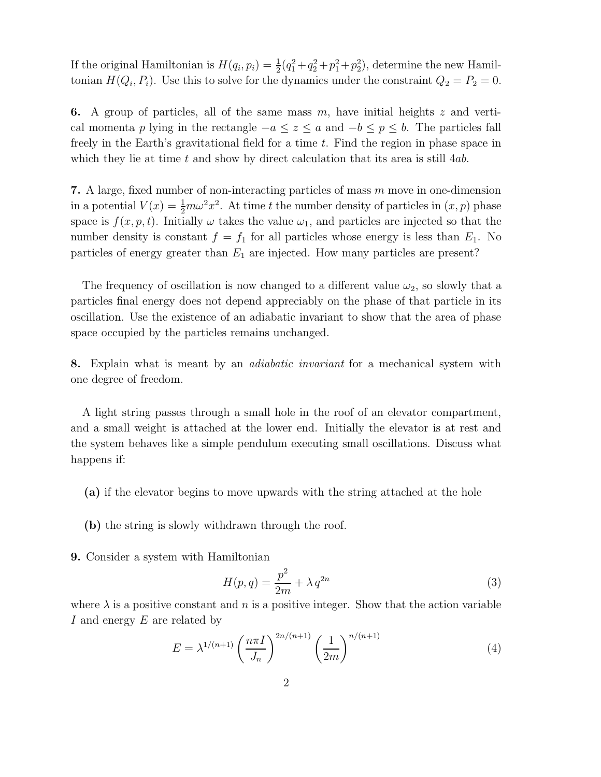If the original Hamiltonian is  $H(q_i, p_i) = \frac{1}{2}$  $\frac{1}{2}(q_1^2+q_2^2+p_1^2+p_2^2)$ , determine the new Hamiltonian  $H(Q_i, P_i)$ . Use this to solve for the dynamics under the constraint  $Q_2 = P_2 = 0$ .

6. A group of particles, all of the same mass  $m$ , have initial heights  $z$  and vertical momenta p lying in the rectangle  $-a \leq z \leq a$  and  $-b \leq p \leq b$ . The particles fall freely in the Earth's gravitational field for a time t. Find the region in phase space in which they lie at time  $t$  and show by direct calculation that its area is still  $4ab$ .

7. A large, fixed number of non-interacting particles of mass m move in one-dimension in a potential  $V(x) = \frac{1}{2}m\omega^2 x^2$ . At time t the number density of particles in  $(x, p)$  phase space is  $f(x, p, t)$ . Initially  $\omega$  takes the value  $\omega_1$ , and particles are injected so that the number density is constant  $f = f_1$  for all particles whose energy is less than  $E_1$ . No particles of energy greater than  $E_1$  are injected. How many particles are present?

The frequency of oscillation is now changed to a different value  $\omega_2$ , so slowly that a particles final energy does not depend appreciably on the phase of that particle in its oscillation. Use the existence of an adiabatic invariant to show that the area of phase space occupied by the particles remains unchanged.

8. Explain what is meant by an *adiabatic invariant* for a mechanical system with one degree of freedom.

A light string passes through a small hole in the roof of an elevator compartment, and a small weight is attached at the lower end. Initially the elevator is at rest and the system behaves like a simple pendulum executing small oscillations. Discuss what happens if:

- (a) if the elevator begins to move upwards with the string attached at the hole
- (b) the string is slowly withdrawn through the roof.
- 9. Consider a system with Hamiltonian

$$
H(p,q) = \frac{p^2}{2m} + \lambda q^{2n}
$$
\n<sup>(3)</sup>

where  $\lambda$  is a positive constant and n is a positive integer. Show that the action variable I and energy E are related by

$$
E = \lambda^{1/(n+1)} \left(\frac{n\pi I}{J_n}\right)^{2n/(n+1)} \left(\frac{1}{2m}\right)^{n/(n+1)}
$$
(4)